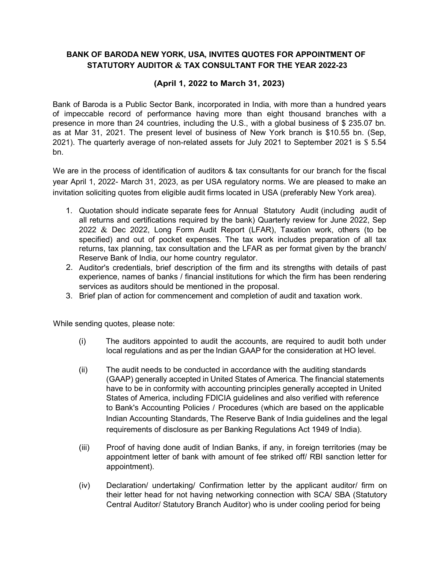## BANK OF BARODA NEW YORK, USA, INVITES QUOTES FOR APPOINTMENT OF STATUTORY AUDITOR & TAX CONSULTANT FOR THE YEAR 2022-23

## (April 1, 2022 to March 31, 2023)

Bank of Baroda is a Public Sector Bank, incorporated in India, with more than a hundred years of impeccable record of performance having more than eight thousand branches with a presence in more than 24 countries, including the U.S., with a global business of \$ 235.07 bn. as at Mar 31, 2021. The present level of business of New York branch is \$10.55 bn. (Sep, 2021). The quarterly average of non-related assets for July 2021 to September 2021 is \$ 5.54 bn.

We are in the process of identification of auditors & tax consultants for our branch for the fiscal year April 1, 2022- March 31, 2023, as per USA regulatory norms. We are pleased to make an invitation soliciting quotes from eligible audit firms located in USA (preferably New York area).

- 1. Quotation should indicate separate fees for Annual Statutory Audit (including audit of all returns and certifications required by the bank) Quarterly review for June 2022, Sep 2022  $\&$  Dec 2022, Long Form Audit Report (LFAR), Taxation work, others (to be specified) and out of pocket expenses. The tax work includes preparation of all tax returns, tax planning, tax consultation and the LFAR as per format given by the branch/ Reserve Bank of India, our home country regulator.
- 2. Auditor's credentials, brief description of the firm and its strengths with details of past experience, names of banks / financial institutions for which the firm has been rendering services as auditors should be mentioned in the proposal.
- 3. Brief plan of action for commencement and completion of audit and taxation work.

While sending quotes, please note:

- (i) The auditors appointed to audit the accounts, are required to audit both under local regulations and as per the Indian GAAP for the consideration at HO level.
- (ii) The audit needs to be conducted in accordance with the auditing standards (GAAP) generally accepted in United States of America. The financial statements have to be in conformity with accounting principles generally accepted in United States of America, including FDICIA guidelines and also verified with reference to Bank's Accounting Policies / Procedures (which are based on the applicable Indian Accounting Standards, The Reserve Bank of India guidelines and the legal requirements of disclosure as per Banking Regulations Act 1949 of India).
- (iii) Proof of having done audit of Indian Banks, if any, in foreign territories (may be appointment letter of bank with amount of fee striked off/ RBI sanction letter for appointment).
- (iv) Declaration/ undertaking/ Confirmation letter by the applicant auditor/ firm on their letter head for not having networking connection with SCA/ SBA (Statutory Central Auditor/ Statutory Branch Auditor) who is under cooling period for being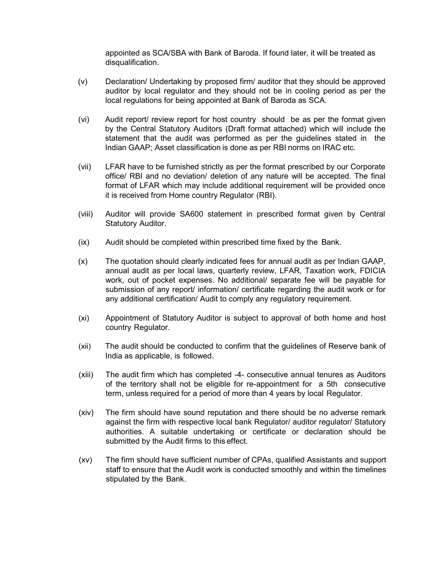appointed as SCA/SBA with Bank of Baroda. If found later, it will be treated as disqualification.

- (v) Declaration/ Undertaking by proposed firm/ auditor that they should be approved auditor by local regulator and they should not be in cooling period as per the local regulations for being appointed at Bank of Baroda as SCA.
- (vi) Audit report/ review report for host country should be as per the format given by the Central Statutory Auditors (Draft format attached) which will include the statement that the audit was performed as per the guidelines stated in the Indian GAAP; Asset classification is done as per RBI norms on IRAC etc.
- (vii) LFAR have to be furnished strictly as per the format prescribed by our Corporate office/ RBI and no deviation/ deletion of any nature will be accepted. The final format of LFAR which may include additional requirement will be provided once it is received from Home country Regulator (RBI).
- (viii) Auditor will provide SA600 statement in prescribed format given by Central Statutory Auditor.
- (ix) Audit should be completed within prescribed time fixed by the Bank.
- (x) The quotation should clearly indicated fees for annual audit as per Indian GAAP, annual audit as per local laws, quarterly review, LFAR, Taxation work, FDICIA work, out of pocket expenses. No additional/ separate fee will be payable for submission of any report/ information/ certificate regarding the audit work or for any additional certification/ Audit to comply any regulatory requirement.
- (xi) Appointment of Statutory Auditor is subject to approval of both home and host country Regulator.
- (xii) The audit should be conducted to confirm that the guidelines of Reserve bank of India as applicable, is followed.
- (xiii) The audit firm which has completed -4- consecutive annual tenures as Auditors of the territory shall not be eligible for re-appointment for a 5th consecutive term, unless required for a period of more than 4 years by local Regulator.
- (xiv) The firm should have sound reputation and there should be no adverse remark against the firm with respective local bank Regulator/ auditor regulator/ Statutory authorities. A suitable undertaking or certificate or declaration should be submitted by the Audit firms to this effect.
- (xv) The firm should have sufficient number of CPAs, qualified Assistants and support staff to ensure that the Audit work is conducted smoothly and within the timelines stipulated by the Bank.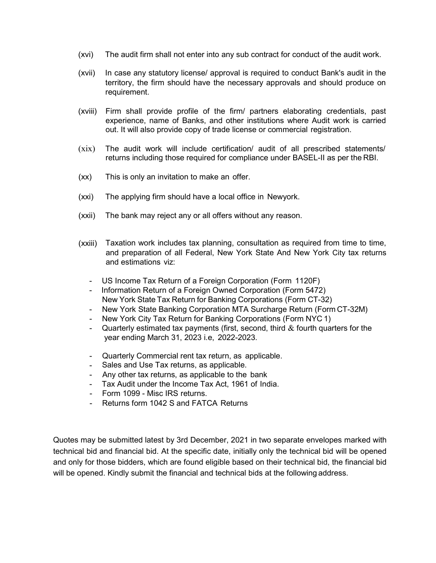- (xvi) The audit firm shall not enter into any sub contract for conduct of the audit work.
- (xvii) In case any statutory license/ approval is required to conduct Bank's audit in the territory, the firm should have the necessary approvals and should produce on requirement.
- (xviii) Firm shall provide profile of the firm/ partners elaborating credentials, past experience, name of Banks, and other institutions where Audit work is carried out. It will also provide copy of trade license or commercial registration.
- (xix) The audit work will include certification/ audit of all prescribed statements/ returns including those required for compliance under BASEL-II as per the RBI.
- (xx) This is only an invitation to make an offer.
- (xxi) The applying firm should have a local office in Newyork.
- (xxii) The bank may reject any or all offers without any reason.
- (xxiii) Taxation work includes tax planning, consultation as required from time to time, and preparation of all Federal, New York State And New York City tax returns and estimations viz:
	- US Income Tax Return of a Foreign Corporation (Form 1120F)
	- Information Return of a Foreign Owned Corporation (Form 5472) New York State Tax Return for Banking Corporations (Form CT-32)
	- New York State Banking Corporation MTA Surcharge Return (Form CT-32M)
	- New York City Tax Return for Banking Corporations (Form NYC 1)
	- Quarterly estimated tax payments (first, second, third  $\&$  fourth quarters for the year ending March 31, 2023 i.e, 2022-2023.
	- Quarterly Commercial rent tax return, as applicable.
	- Sales and Use Tax returns, as applicable.
	- Any other tax returns, as applicable to the bank
	- Tax Audit under the Income Tax Act, 1961 of India.
	- Form 1099 Misc IRS returns.
	- Returns form 1042 S and FATCA Returns

Quotes may be submitted latest by 3rd December, 2021 in two separate envelopes marked with technical bid and financial bid. At the specific date, initially only the technical bid will be opened and only for those bidders, which are found eligible based on their technical bid, the financial bid will be opened. Kindly submit the financial and technical bids at the following address.